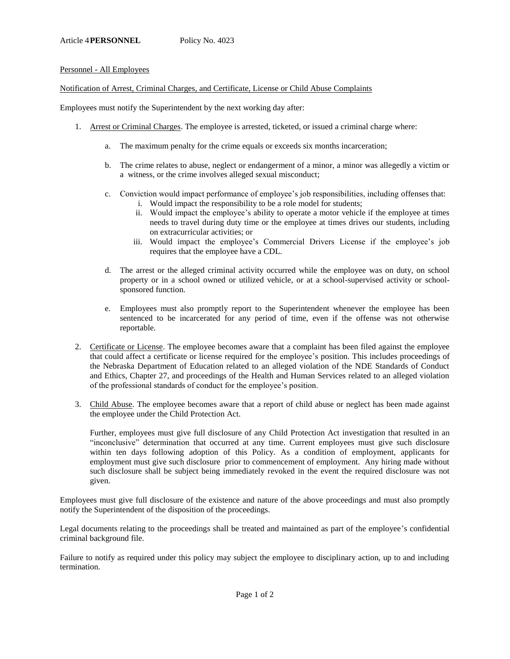## Personnel - All Employees

Notification of Arrest, Criminal Charges, and Certificate, License or Child Abuse Complaints

Employees must notify the Superintendent by the next working day after:

- 1. Arrest or Criminal Charges. The employee is arrested, ticketed, or issued a criminal charge where:
	- a. The maximum penalty for the crime equals or exceeds six months incarceration;
	- b. The crime relates to abuse, neglect or endangerment of a minor, a minor was allegedly a victim or a witness, or the crime involves alleged sexual misconduct;
	- c. Conviction would impact performance of employee's job responsibilities, including offenses that:
		- i. Would impact the responsibility to be a role model for students;
		- ii. Would impact the employee's ability to operate a motor vehicle if the employee at times needs to travel during duty time or the employee at times drives our students, including on extracurricular activities; or
		- iii. Would impact the employee's Commercial Drivers License if the employee's job requires that the employee have a CDL.
	- d. The arrest or the alleged criminal activity occurred while the employee was on duty, on school property or in a school owned or utilized vehicle, or at a school-supervised activity or schoolsponsored function.
	- e. Employees must also promptly report to the Superintendent whenever the employee has been sentenced to be incarcerated for any period of time, even if the offense was not otherwise reportable.
- 2. Certificate or License. The employee becomes aware that a complaint has been filed against the employee that could affect a certificate or license required for the employee's position. This includes proceedings of the Nebraska Department of Education related to an alleged violation of the NDE Standards of Conduct and Ethics, Chapter 27, and proceedings of the Health and Human Services related to an alleged violation of the professional standards of conduct for the employee's position.
- 3. Child Abuse. The employee becomes aware that a report of child abuse or neglect has been made against the employee under the Child Protection Act.

Further, employees must give full disclosure of any Child Protection Act investigation that resulted in an "inconclusive" determination that occurred at any time. Current employees must give such disclosure within ten days following adoption of this Policy. As a condition of employment, applicants for employment must give such disclosure prior to commencement of employment. Any hiring made without such disclosure shall be subject being immediately revoked in the event the required disclosure was not given.

Employees must give full disclosure of the existence and nature of the above proceedings and must also promptly notify the Superintendent of the disposition of the proceedings.

Legal documents relating to the proceedings shall be treated and maintained as part of the employee's confidential criminal background file.

Failure to notify as required under this policy may subject the employee to disciplinary action, up to and including termination.